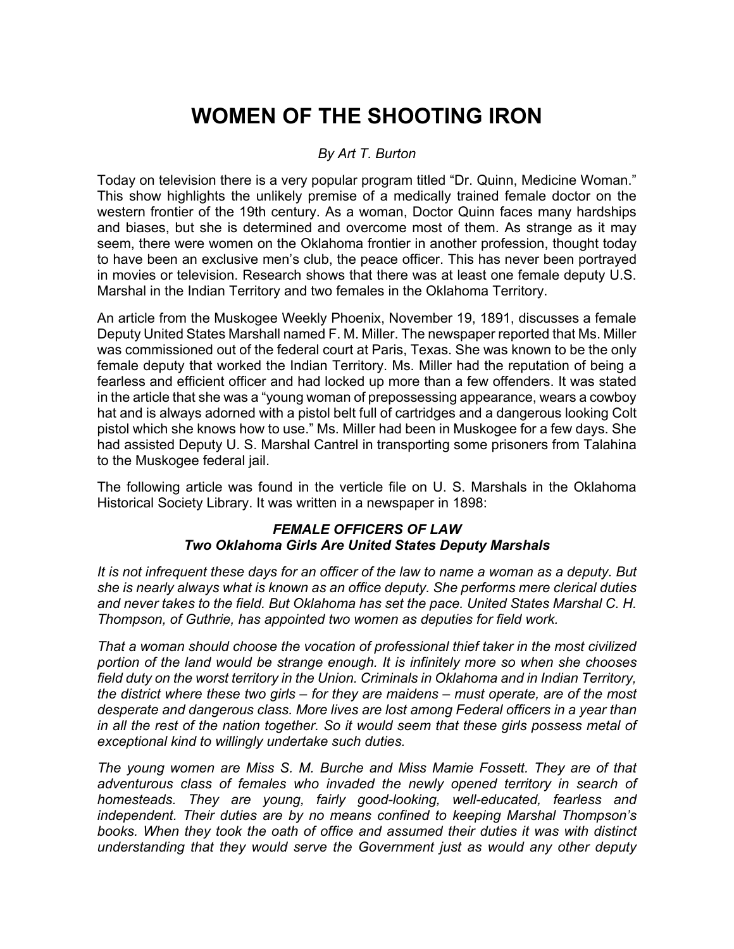## **WOMEN OF THE SHOOTING IRON**

## *By Art T. Burton*

Today on television there is a very popular program titled "Dr. Quinn, Medicine Woman." This show highlights the unlikely premise of a medically trained female doctor on the western frontier of the 19th century. As a woman, Doctor Quinn faces many hardships and biases, but she is determined and overcome most of them. As strange as it may seem, there were women on the Oklahoma frontier in another profession, thought today to have been an exclusive men's club, the peace officer. This has never been portrayed in movies or television. Research shows that there was at least one female deputy U.S. Marshal in the Indian Territory and two females in the Oklahoma Territory.

An article from the Muskogee Weekly Phoenix, November 19, 1891, discusses a female Deputy United States Marshall named F. M. Miller. The newspaper reported that Ms. Miller was commissioned out of the federal court at Paris, Texas. She was known to be the only female deputy that worked the Indian Territory. Ms. Miller had the reputation of being a fearless and efficient officer and had locked up more than a few offenders. It was stated in the article that she was a "young woman of prepossessing appearance, wears a cowboy hat and is always adorned with a pistol belt full of cartridges and a dangerous looking Colt pistol which she knows how to use." Ms. Miller had been in Muskogee for a few days. She had assisted Deputy U. S. Marshal Cantrel in transporting some prisoners from Talahina to the Muskogee federal jail.

The following article was found in the verticle file on U. S. Marshals in the Oklahoma Historical Society Library. It was written in a newspaper in 1898:

## *FEMALE OFFICERS OF LAW Two Oklahoma Girls Are United States Deputy Marshals*

*It is not infrequent these days for an officer of the law to name a woman as a deputy. But she is nearly always what is known as an office deputy. She performs mere clerical duties and never takes to the field. But Oklahoma has set the pace. United States Marshal C. H. Thompson, of Guthrie, has appointed two women as deputies for field work.*

*That a woman should choose the vocation of professional thief taker in the most civilized portion of the land would be strange enough. It is infinitely more so when she chooses field duty on the worst territory in the Union. Criminals in Oklahoma and in Indian Territory, the district where these two girls – for they are maidens – must operate, are of the most desperate and dangerous class. More lives are lost among Federal officers in a year than in all the rest of the nation together. So it would seem that these girls possess metal of exceptional kind to willingly undertake such duties.*

*The young women are Miss S. M. Burche and Miss Mamie Fossett. They are of that*  adventurous class of females who invaded the newly opened territory in search of *homesteads. They are young, fairly good-looking, well-educated, fearless and independent. Their duties are by no means confined to keeping Marshal Thompson's*  books. When they took the oath of office and assumed their duties it was with distinct *understanding that they would serve the Government just as would any other deputy*